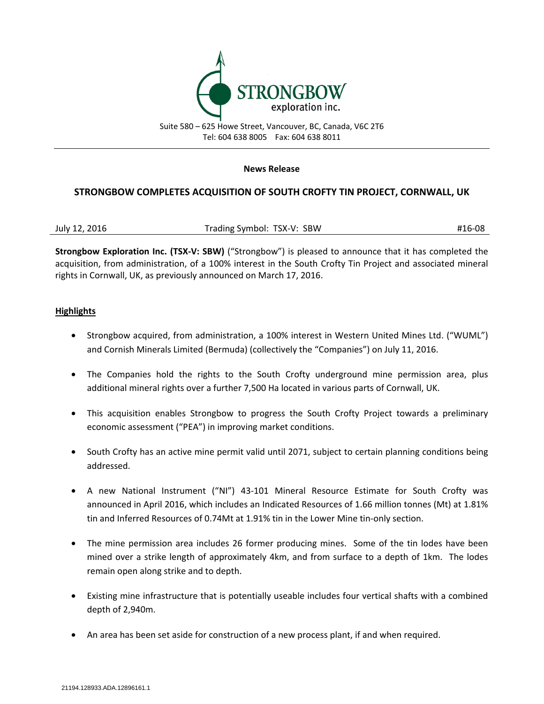

#### **News Release**

# **STRONGBOW COMPLETES ACQUISITION OF SOUTH CROFTY TIN PROJECT, CORNWALL, UK**

| July 12, 2016 | Trading Symbol: TSX-V: SBW | #16-08 |
|---------------|----------------------------|--------|
|---------------|----------------------------|--------|

**Strongbow Exploration Inc. (TSX-V: SBW)** ("Strongbow") is pleased to announce that it has completed the acquisition, from administration, of a 100% interest in the South Crofty Tin Project and associated mineral rights in Cornwall, UK, as previously announced on March 17, 2016.

#### **Highlights**

- Strongbow acquired, from administration, a 100% interest in Western United Mines Ltd. ("WUML") and Cornish Minerals Limited (Bermuda) (collectively the "Companies") on July 11, 2016.
- The Companies hold the rights to the South Crofty underground mine permission area, plus additional mineral rights over a further 7,500 Ha located in various parts of Cornwall, UK.
- This acquisition enables Strongbow to progress the South Crofty Project towards a preliminary economic assessment ("PEA") in improving market conditions.
- South Crofty has an active mine permit valid until 2071, subject to certain planning conditions being addressed.
- A new National Instrument ("NI") 43-101 Mineral Resource Estimate for South Crofty was announced in April 2016, which includes an Indicated Resources of 1.66 million tonnes (Mt) at 1.81% tin and Inferred Resources of 0.74Mt at 1.91% tin in the Lower Mine tin-only section.
- The mine permission area includes 26 former producing mines. Some of the tin lodes have been mined over a strike length of approximately 4km, and from surface to a depth of 1km. The lodes remain open along strike and to depth.
- Existing mine infrastructure that is potentially useable includes four vertical shafts with a combined depth of 2,940m.
- An area has been set aside for construction of a new process plant, if and when required.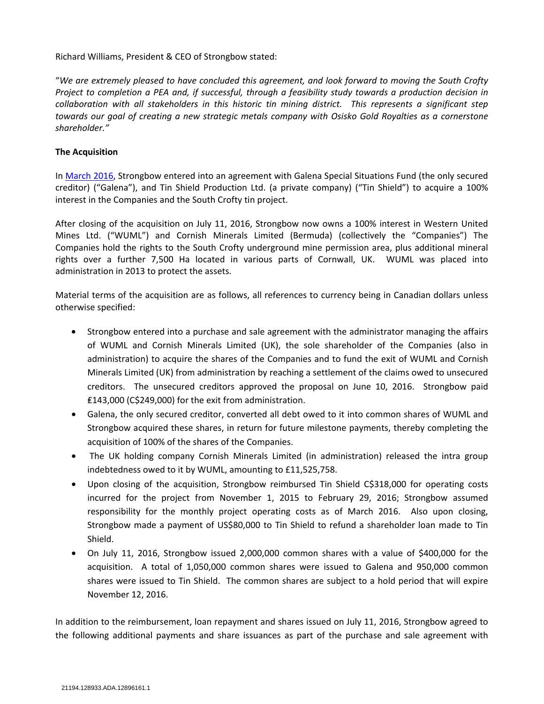Richard Williams, President & CEO of Strongbow stated:

"*We are extremely pleased to have concluded this agreement, and look forward to moving the South Crofty Project to completion a PEA and, if successful, through a feasibility study towards a production decision in collaboration with all stakeholders in this historic tin mining district. This represents a significant step towards our goal of creating a new strategic metals company with Osisko Gold Royalties as a cornerstone shareholder."*

#### **The Acquisition**

In [March 2016,](http://www.strongbowexploration.com/s/NewsReleases.asp?ReportID=742916&_Type=News-Releases&_Title=Strongbow-to-Acquire-the-South-Crofty-Tin-Project-Cornwall-UK) Strongbow entered into an agreement with Galena Special Situations Fund (the only secured creditor) ("Galena"), and Tin Shield Production Ltd. (a private company) ("Tin Shield") to acquire a 100% interest in the Companies and the South Crofty tin project.

After closing of the acquisition on July 11, 2016, Strongbow now owns a 100% interest in Western United Mines Ltd. ("WUML") and Cornish Minerals Limited (Bermuda) (collectively the "Companies") The Companies hold the rights to the South Crofty underground mine permission area, plus additional mineral rights over a further 7,500 Ha located in various parts of Cornwall, UK. WUML was placed into administration in 2013 to protect the assets.

Material terms of the acquisition are as follows, all references to currency being in Canadian dollars unless otherwise specified:

- Strongbow entered into a purchase and sale agreement with the administrator managing the affairs of WUML and Cornish Minerals Limited (UK), the sole shareholder of the Companies (also in administration) to acquire the shares of the Companies and to fund the exit of WUML and Cornish Minerals Limited (UK) from administration by reaching a settlement of the claims owed to unsecured creditors. The unsecured creditors approved the proposal on June 10, 2016. Strongbow paid ₤143,000 (C\$249,000) for the exit from administration.
- Galena, the only secured creditor, converted all debt owed to it into common shares of WUML and Strongbow acquired these shares, in return for future milestone payments, thereby completing the acquisition of 100% of the shares of the Companies.
- The UK holding company Cornish Minerals Limited (in administration) released the intra group indebtedness owed to it by WUML, amounting to £11,525,758.
- Upon closing of the acquisition, Strongbow reimbursed Tin Shield C\$318,000 for operating costs incurred for the project from November 1, 2015 to February 29, 2016; Strongbow assumed responsibility for the monthly project operating costs as of March 2016. Also upon closing, Strongbow made a payment of US\$80,000 to Tin Shield to refund a shareholder loan made to Tin Shield.
- On July 11, 2016, Strongbow issued 2,000,000 common shares with a value of \$400,000 for the acquisition. A total of 1,050,000 common shares were issued to Galena and 950,000 common shares were issued to Tin Shield. The common shares are subject to a hold period that will expire November 12, 2016.

In addition to the reimbursement, loan repayment and shares issued on July 11, 2016, Strongbow agreed to the following additional payments and share issuances as part of the purchase and sale agreement with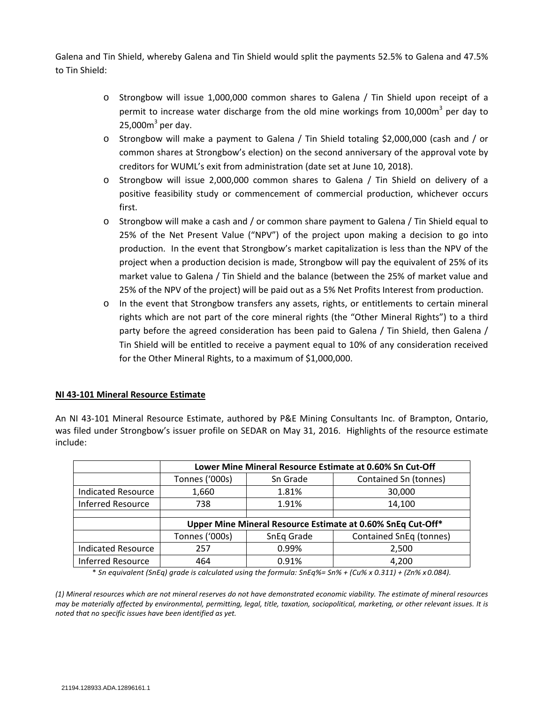Galena and Tin Shield, whereby Galena and Tin Shield would split the payments 52.5% to Galena and 47.5% to Tin Shield:

- o Strongbow will issue 1,000,000 common shares to Galena / Tin Shield upon receipt of a permit to increase water discharge from the old mine workings from  $10,000$ m<sup>3</sup> per dav to 25,000 $m<sup>3</sup>$  per day.
- o Strongbow will make a payment to Galena / Tin Shield totaling \$2,000,000 (cash and / or common shares at Strongbow's election) on the second anniversary of the approval vote by creditors for WUML's exit from administration (date set at June 10, 2018).
- o Strongbow will issue 2,000,000 common shares to Galena / Tin Shield on delivery of a positive feasibility study or commencement of commercial production, whichever occurs first.
- o Strongbow will make a cash and / or common share payment to Galena / Tin Shield equal to 25% of the Net Present Value ("NPV") of the project upon making a decision to go into production. In the event that Strongbow's market capitalization is less than the NPV of the project when a production decision is made, Strongbow will pay the equivalent of 25% of its market value to Galena / Tin Shield and the balance (between the 25% of market value and 25% of the NPV of the project) will be paid out as a 5% Net Profits Interest from production.
- o In the event that Strongbow transfers any assets, rights, or entitlements to certain mineral rights which are not part of the core mineral rights (the "Other Mineral Rights") to a third party before the agreed consideration has been paid to Galena / Tin Shield, then Galena / Tin Shield will be entitled to receive a payment equal to 10% of any consideration received for the Other Mineral Rights, to a maximum of \$1,000,000.

## **NI 43-101 Mineral Resource Estimate**

An NI 43-101 Mineral Resource Estimate, authored by P&E Mining Consultants Inc. of Brampton, Ontario, was filed under Strongbow's issuer profile on SEDAR on May 31, 2016. Highlights of the resource estimate include:

|                           | Lower Mine Mineral Resource Estimate at 0.60% Sn Cut-Off    |            |                         |  |
|---------------------------|-------------------------------------------------------------|------------|-------------------------|--|
|                           | Tonnes ('000s)                                              | Sn Grade   | Contained Sn (tonnes)   |  |
| <b>Indicated Resource</b> | 1,660                                                       | 1.81%      | 30,000                  |  |
| <b>Inferred Resource</b>  | 738                                                         | 1.91%      | 14,100                  |  |
|                           |                                                             |            |                         |  |
|                           | Upper Mine Mineral Resource Estimate at 0.60% SnEq Cut-Off* |            |                         |  |
|                           | Tonnes ('000s)                                              | SnEq Grade | Contained SnEq (tonnes) |  |
| <b>Indicated Resource</b> | 257                                                         | 0.99%      | 2,500                   |  |
| <b>Inferred Resource</b>  | 464                                                         | 0.91%      | 4,200                   |  |

\* *Sn equivalent (SnEq) grade is calculated using the formula: SnEq%= Sn% + (Cu% x 0.311) + (Zn% x 0.084).*

*(1) Mineral resources which are not mineral reserves do not have demonstrated economic viability. The estimate of mineral resources may be materially affected by environmental, permitting, legal, title, taxation, sociopolitical, marketing, or other relevant issues. It is noted that no specific issues have been identified as yet.*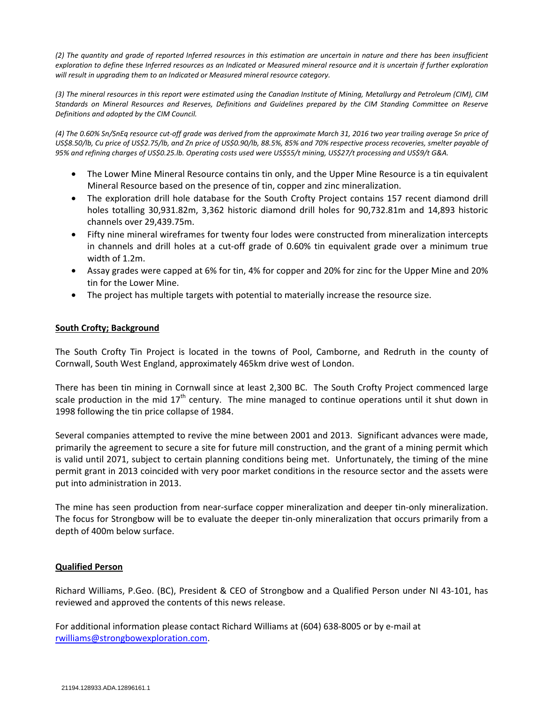*(2) The quantity and grade of reported Inferred resources in this estimation are uncertain in nature and there has been insufficient exploration to define these Inferred resources as an Indicated or Measured mineral resource and it is uncertain if further exploration will result in upgrading them to an Indicated or Measured mineral resource category.*

*(3) The mineral resources in this report were estimated using the Canadian Institute of Mining, Metallurgy and Petroleum (CIM), CIM Standards on Mineral Resources and Reserves, Definitions and Guidelines prepared by the CIM Standing Committee on Reserve Definitions and adopted by the CIM Council.*

*(4) The 0.60% Sn/SnEq resource cut-off grade was derived from the approximate March 31, 2016 two year trailing average Sn price of US\$8.50/lb, Cu price of US\$2.75/lb, and Zn price of US\$0.90/lb, 88.5%, 85% and 70% respective process recoveries, smelter payable of 95% and refining charges of US\$0.25.lb. Operating costs used were US\$55/t mining, US\$27/t processing and US\$9/t G&A.*

- The Lower Mine Mineral Resource contains tin only, and the Upper Mine Resource is a tin equivalent Mineral Resource based on the presence of tin, copper and zinc mineralization.
- The exploration drill hole database for the South Crofty Project contains 157 recent diamond drill holes totalling 30,931.82m, 3,362 historic diamond drill holes for 90,732.81m and 14,893 historic channels over 29,439.75m.
- Fifty nine mineral wireframes for twenty four lodes were constructed from mineralization intercepts in channels and drill holes at a cut-off grade of 0.60% tin equivalent grade over a minimum true width of 1.2m.
- Assay grades were capped at 6% for tin, 4% for copper and 20% for zinc for the Upper Mine and 20% tin for the Lower Mine.
- The project has multiple targets with potential to materially increase the resource size.

## **South Crofty; Background**

The South Crofty Tin Project is located in the towns of Pool, Camborne, and Redruth in the county of Cornwall, South West England, approximately 465km drive west of London.

There has been tin mining in Cornwall since at least 2,300 BC. The South Crofty Project commenced large scale production in the mid  $17<sup>th</sup>$  century. The mine managed to continue operations until it shut down in 1998 following the tin price collapse of 1984.

Several companies attempted to revive the mine between 2001 and 2013. Significant advances were made, primarily the agreement to secure a site for future mill construction, and the grant of a mining permit which is valid until 2071, subject to certain planning conditions being met. Unfortunately, the timing of the mine permit grant in 2013 coincided with very poor market conditions in the resource sector and the assets were put into administration in 2013.

The mine has seen production from near-surface copper mineralization and deeper tin-only mineralization. The focus for Strongbow will be to evaluate the deeper tin-only mineralization that occurs primarily from a depth of 400m below surface.

## **Qualified Person**

Richard Williams, P.Geo. (BC), President & CEO of Strongbow and a Qualified Person under NI 43-101, has reviewed and approved the contents of this news release.

For additional information please contact Richard Williams at (604) 638-8005 or by e-mail at [rwilliams@strongbowexploration.com.](mailto:rwilliams@strongbowexploration.com)